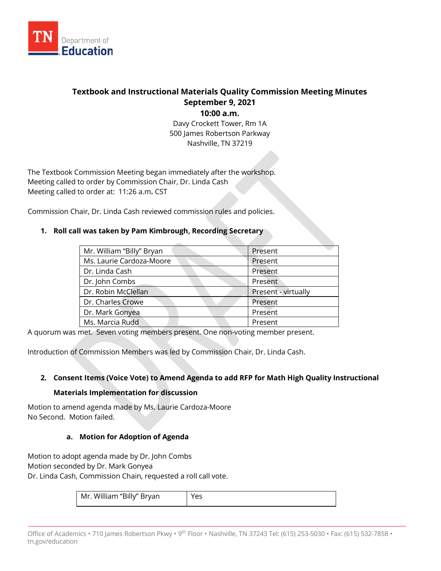

# **Textbook and Instructional Materials Quality Commission Meeting Minutes September 9, 2021**

**10:00 a.m.**

Davy Crockett Tower, Rm 1A 500 James Robertson Parkway Nashville, TN 37219

The Textbook Commission Meeting began immediately after the workshop. Meeting called to order by Commission Chair, Dr. Linda Cash Meeting called to order at: 11:26 a.m**.** CST

Commission Chair, Dr. Linda Cash reviewed commission rules and policies.

# **1. Roll call was taken by Pam Kimbrough, Recording Secretary**

| Mr. William "Billy" Bryan | Present             |
|---------------------------|---------------------|
| Ms. Laurie Cardoza-Moore  | Present             |
| Dr. Linda Cash            | Present             |
| Dr. John Combs            | Present             |
| Dr. Robin McClellan       | Present - virtually |
| Dr. Charles Crowe         | Present             |
| Dr. Mark Gonyea           | Present             |
| Ms. Marcia Rudd           | Present             |

A quorum was met. Seven voting members present. One non-voting member present.

Introduction of Commission Members was led by Commission Chair, Dr. Linda Cash.

## **2. Consent Items (Voice Vote) to Amend Agenda to add RFP for Math High Quality Instructional**

## **Materials Implementation for discussion**

Motion to amend agenda made by Ms. Laurie Cardoza-Moore No Second. Motion failed.

## **a. Motion for Adoption of Agenda**

Motion to adopt agenda made by Dr. John Combs Motion seconded by Dr. Mark Gonyea Dr. Linda Cash, Commission Chain, requested a roll call vote.

| Mr. William "Billy" Bryan |  |
|---------------------------|--|
|---------------------------|--|